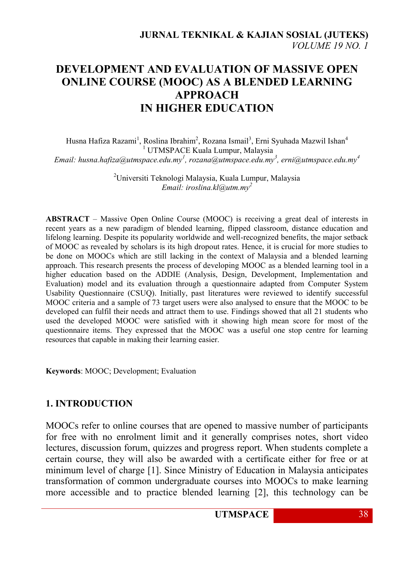# **DEVELOPMENT AND EVALUATION OF MASSIVE OPEN ONLINE COURSE (MOOC) AS A BLENDED LEARNING APPROACH IN HIGHER EDUCATION**

Husna Hafiza Razami<sup>1</sup>, Roslina Ibrahim<sup>2</sup>, Rozana Ismail<sup>3</sup>, Erni Syuhada Mazwil Ishan<sup>4</sup> <sup>1</sup> UTMSPACE Kuala Lumpur, Malaysia *Email: husna.hafiza@utmspace.edu.my<sup>1</sup> , rozana@utmspace.edu.my<sup>3</sup> , erni@utmspace.edu.my<sup>4</sup>*

> <sup>2</sup>Universiti Teknologi Malaysia, Kuala Lumpur, Malaysia *Email: iroslina.kl@utm.my<sup>2</sup>*

**ABSTRACT** – Massive Open Online Course (MOOC) is receiving a great deal of interests in recent years as a new paradigm of blended learning, flipped classroom, distance education and lifelong learning. Despite its popularity worldwide and well-recognized benefits, the major setback of MOOC as revealed by scholars is its high dropout rates. Hence, it is crucial for more studies to be done on MOOCs which are still lacking in the context of Malaysia and a blended learning approach. This research presents the process of developing MOOC as a blended learning tool in a higher education based on the ADDIE (Analysis, Design, Development, Implementation and Evaluation) model and its evaluation through a questionnaire adapted from Computer System Usability Questionnaire (CSUQ). Initially, past literatures were reviewed to identify successful MOOC criteria and a sample of 73 target users were also analysed to ensure that the MOOC to be developed can fulfil their needs and attract them to use. Findings showed that all 21 students who used the developed MOOC were satisfied with it showing high mean score for most of the questionnaire items. They expressed that the MOOC was a useful one stop centre for learning resources that capable in making their learning easier.

**Keywords**: MOOC; Development; Evaluation

#### **1. INTRODUCTION**

MOOCs refer to online courses that are opened to massive number of participants for free with no enrolment limit and it generally comprises notes, short video lectures, discussion forum, quizzes and progress report. When students complete a certain course, they will also be awarded with a certificate either for free or at minimum level of charge [1]. Since Ministry of Education in Malaysia anticipates transformation of common undergraduate courses into MOOCs to make learning more accessible and to practice blended learning [2], this technology can be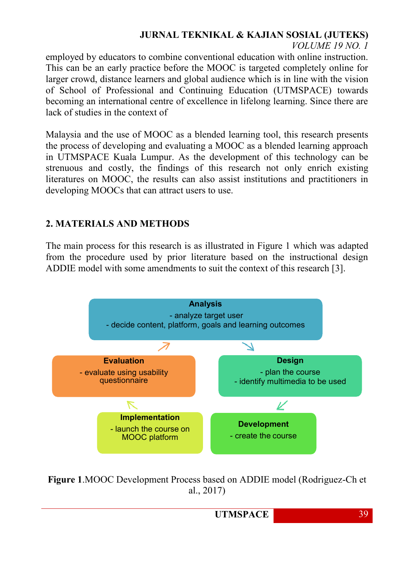*VOLUME 19 NO. 1*

employed by educators to combine conventional education with online instruction. This can be an early practice before the MOOC is targeted completely online for larger crowd, distance learners and global audience which is in line with the vision of School of Professional and Continuing Education (UTMSPACE) towards becoming an international centre of excellence in lifelong learning. Since there are lack of studies in the context of

Malaysia and the use of MOOC as a blended learning tool, this research presents the process of developing and evaluating a MOOC as a blended learning approach in UTMSPACE Kuala Lumpur. As the development of this technology can be strenuous and costly, the findings of this research not only enrich existing literatures on MOOC, the results can also assist institutions and practitioners in developing MOOCs that can attract users to use.

### **2. MATERIALS AND METHODS**

The main process for this research is as illustrated in Figure 1 which was adapted from the procedure used by prior literature based on the instructional design ADDIE model with some amendments to suit the context of this research [3].



**Figure 1**.MOOC Development Process based on ADDIE model (Rodriguez-Ch et al., 2017)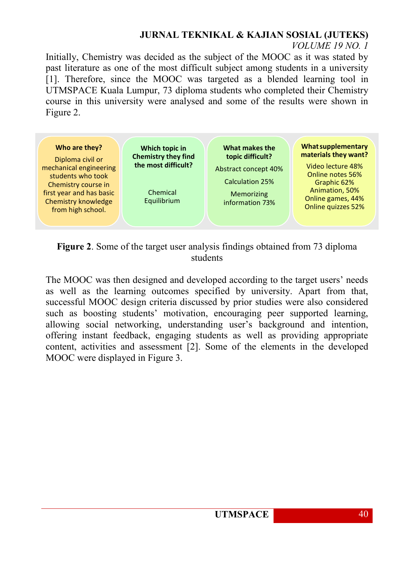*VOLUME 19 NO. 1*

Initially, Chemistry was decided as the subject of the MOOC as it was stated by past literature as one of the most difficult subject among students in a university [1]. Therefore, since the MOOC was targeted as a blended learning tool in UTMSPACE Kuala Lumpur, 73 diploma students who completed their Chemistry course in this university were analysed and some of the results were shown in Figure 2.



**Figure 2**. Some of the target user analysis findings obtained from 73 diploma students

The MOOC was then designed and developed according to the target users' needs as well as the learning outcomes specified by university. Apart from that, successful MOOC design criteria discussed by prior studies were also considered such as boosting students' motivation, encouraging peer supported learning, allowing social networking, understanding user's background and intention, offering instant feedback, engaging students as well as providing appropriate content, activities and assessment [2]. Some of the elements in the developed MOOC were displayed in Figure 3.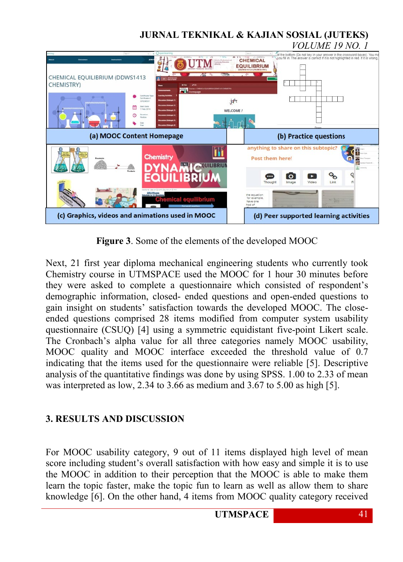

**Figure 3**. Some of the elements of the developed MOOC

Next, 21 first year diploma mechanical engineering students who currently took Chemistry course in UTMSPACE used the MOOC for 1 hour 30 minutes before they were asked to complete a questionnaire which consisted of respondent's demographic information, closed- ended questions and open-ended questions to gain insight on students' satisfaction towards the developed MOOC. The closeended questions comprised 28 items modified from computer system usability questionnaire (CSUQ) [4] using a symmetric equidistant five-point Likert scale. The Cronbach's alpha value for all three categories namely MOOC usability, MOOC quality and MOOC interface exceeded the threshold value of 0.7 indicating that the items used for the questionnaire were reliable [5]. Descriptive analysis of the quantitative findings was done by using SPSS. 1.00 to 2.33 of mean was interpreted as low, 2.34 to 3.66 as medium and 3.67 to 5.00 as high [5].

### **3. RESULTS AND DISCUSSION**

For MOOC usability category, 9 out of 11 items displayed high level of mean score including student's overall satisfaction with how easy and simple it is to use the MOOC in addition to their perception that the MOOC is able to make them learn the topic faster, make the topic fun to learn as well as allow them to share knowledge [6]. On the other hand, 4 items from MOOC quality category received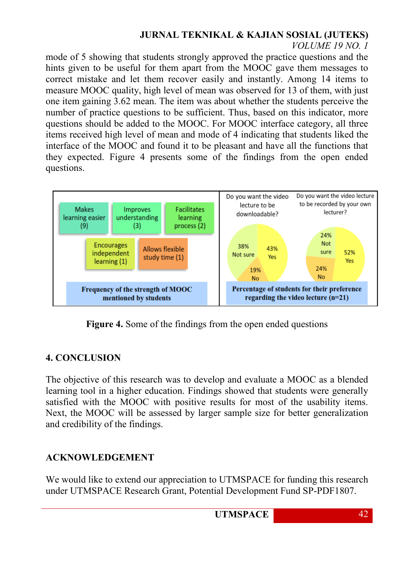*VOLUME 19 NO. 1*

mode of 5 showing that students strongly approved the practice questions and the hints given to be useful for them apart from the MOOC gave them messages to correct mistake and let them recover easily and instantly. Among 14 items to measure MOOC quality, high level of mean was observed for 13 of them, with just one item gaining 3.62 mean. The item was about whether the students perceive the number of practice questions to be sufficient. Thus, based on this indicator, more questions should be added to the MOOC. For MOOC interface category, all three items received high level of mean and mode of 4 indicating that students liked the interface of the MOOC and found it to be pleasant and have all the functions that they expected. Figure 4 presents some of the findings from the open ended questions.



**Figure 4.** Some of the findings from the open ended questions

### **4. CONCLUSION**

The objective of this research was to develop and evaluate a MOOC as a blended learning tool in a higher education. Findings showed that students were generally satisfied with the MOOC with positive results for most of the usability items. Next, the MOOC will be assessed by larger sample size for better generalization and credibility of the findings.

### **ACKNOWLEDGEMENT**

We would like to extend our appreciation to UTMSPACE for funding this research under UTMSPACE Research Grant, Potential Development Fund SP-PDF1807.